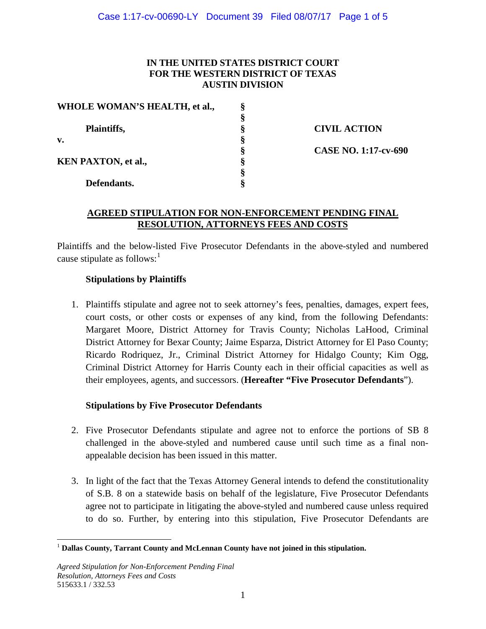#### **IN THE UNITED STATES DISTRICT COURT FOR THE WESTERN DISTRICT OF TEXAS AUSTIN DIVISION**

| WHOLE WOMAN'S HEALTH, et al., |   |
|-------------------------------|---|
|                               | 8 |
| Plaintiffs,                   | 8 |
| v.                            |   |
|                               | Ş |
| <b>KEN PAXTON, et al.,</b>    | Ş |
|                               | 8 |
| Defendants.                   |   |

**Plaintiffs, § CIVIL ACTION § CASE NO. 1:17-cv-690**

#### **AGREED STIPULATION FOR NON-ENFORCEMENT PENDING FINAL RESOLUTION, ATTORNEYS FEES AND COSTS**

Plaintiffs and the below-listed Five Prosecutor Defendants in the above-styled and numbered cause stipulate as follows: $<sup>1</sup>$  $<sup>1</sup>$  $<sup>1</sup>$ </sup>

# **Stipulations by Plaintiffs**

1. Plaintiffs stipulate and agree not to seek attorney's fees, penalties, damages, expert fees, court costs, or other costs or expenses of any kind, from the following Defendants: Margaret Moore, District Attorney for Travis County; Nicholas LaHood, Criminal District Attorney for Bexar County; Jaime Esparza, District Attorney for El Paso County; Ricardo Rodriquez, Jr., Criminal District Attorney for Hidalgo County; Kim Ogg, Criminal District Attorney for Harris County each in their official capacities as well as their employees, agents, and successors. (**Hereafter "Five Prosecutor Defendants**").

## **Stipulations by Five Prosecutor Defendants**

- 2. Five Prosecutor Defendants stipulate and agree not to enforce the portions of SB 8 challenged in the above-styled and numbered cause until such time as a final nonappealable decision has been issued in this matter.
- 3. In light of the fact that the Texas Attorney General intends to defend the constitutionality of S.B. 8 on a statewide basis on behalf of the legislature, Five Prosecutor Defendants agree not to participate in litigating the above-styled and numbered cause unless required to do so. Further, by entering into this stipulation, Five Prosecutor Defendants are

<span id="page-0-0"></span><sup>1</sup> **Dallas County, Tarrant County and McLennan County have not joined in this stipulation.**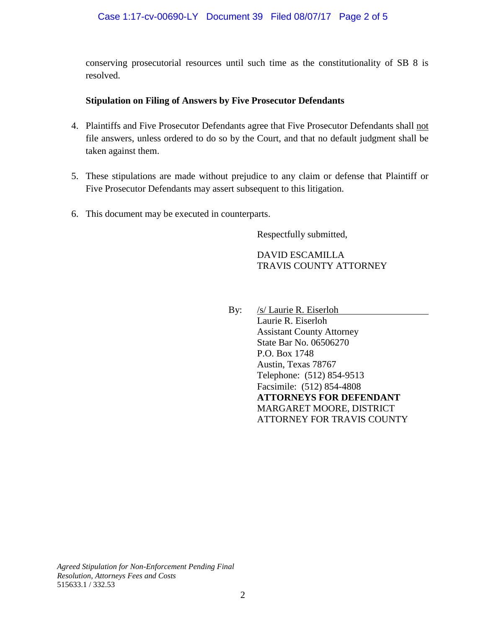conserving prosecutorial resources until such time as the constitutionality of SB 8 is resolved.

## **Stipulation on Filing of Answers by Five Prosecutor Defendants**

- 4. Plaintiffs and Five Prosecutor Defendants agree that Five Prosecutor Defendants shall not file answers, unless ordered to do so by the Court, and that no default judgment shall be taken against them.
- 5. These stipulations are made without prejudice to any claim or defense that Plaintiff or Five Prosecutor Defendants may assert subsequent to this litigation.
- 6. This document may be executed in counterparts.

Respectfully submitted,

DAVID ESCAMILLA TRAVIS COUNTY ATTORNEY

By: /s/ Laurie R. Eiserloh Laurie R. Eiserloh Assistant County Attorney State Bar No. 06506270 P.O. Box 1748 Austin, Texas 78767 Telephone: (512) 854-9513 Facsimile: (512) 854-4808 **ATTORNEYS FOR DEFENDANT** MARGARET MOORE, DISTRICT ATTORNEY FOR TRAVIS COUNTY

*Agreed Stipulation for Non-Enforcement Pending Final Resolution, Attorneys Fees and Costs* 515633.1 / 332.53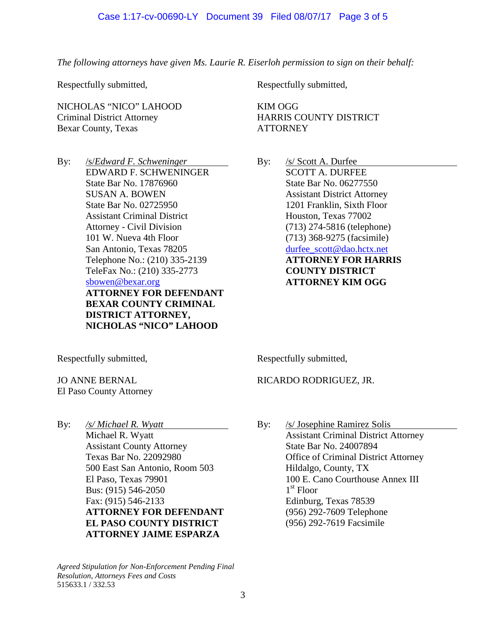#### Case 1:17-cv-00690-LY Document 39 Filed 08/07/17 Page 3 of 5

*The following attorneys have given Ms. Laurie R. Eiserloh permission to sign on their behalf:*

Respectfully submitted,

NICHOLAS "NICO" LAHOOD Criminal District Attorney Bexar County, Texas

By: /s/*Edward F. Schweninger* EDWARD F. SCHWENINGER State Bar No. 17876960 SUSAN A. BOWEN State Bar No. 02725950 Assistant Criminal District Attorney - Civil Division 101 W. Nueva 4th Floor San Antonio, Texas 78205 Telephone No.: (210) 335-2139 TeleFax No.: (210) 335-2773 [sbowen@bexar.org](mailto:sbowen@bexar.org) **ATTORNEY FOR DEFENDANT BEXAR COUNTY CRIMINAL DISTRICT ATTORNEY, NICHOLAS "NICO" LAHOOD**

Respectfully submitted,

KIM OGG HARRIS COUNTY DISTRICT **ATTORNEY** 

By: /s/ Scott A. Durfee SCOTT A. DURFEE State Bar No. 06277550 Assistant District Attorney 1201 Franklin, Sixth Floor Houston, Texas 77002 (713) 274-5816 (telephone) (713) 368-9275 (facsimile) [durfee\\_scott@dao.hctx.net](mailto:durfee_scott@dao.hctx.net) **ATTORNEY FOR HARRIS COUNTY DISTRICT ATTORNEY KIM OGG**

Respectfully submitted,

JO ANNE BERNAL El Paso County Attorney

By: */s/ Michael R. Wyatt* Michael R. Wyatt Assistant County Attorney Texas Bar No. 22092980 500 East San Antonio, Room 503 El Paso, Texas 79901 Bus: (915) 546-2050 Fax: (915) 546-2133 **ATTORNEY FOR DEFENDANT EL PASO COUNTY DISTRICT ATTORNEY JAIME ESPARZA**

*Agreed Stipulation for Non-Enforcement Pending Final Resolution, Attorneys Fees and Costs* 515633.1 / 332.53

Respectfully submitted,

## RICARDO RODRIGUEZ, JR.

By: /s/ Josephine Ramirez Solis Assistant Criminal District Attorney State Bar No. 24007894 Office of Criminal District Attorney Hildalgo, County, TX 100 E. Cano Courthouse Annex III  $1<sup>st</sup>$  Floor Edinburg, Texas 78539 (956) 292-7609 Telephone (956) 292-7619 Facsimile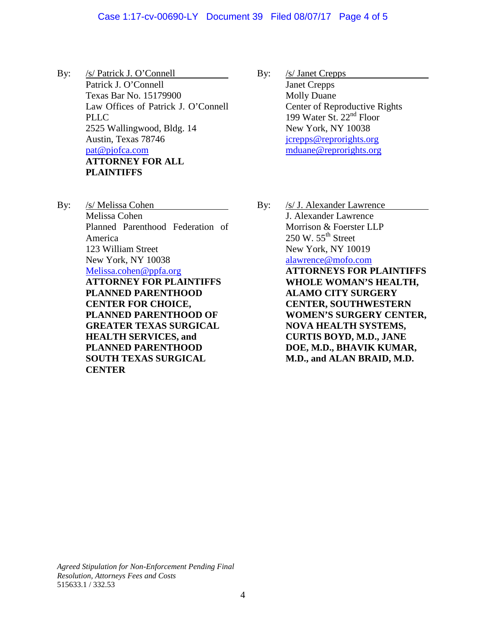#### Case 1:17-cv-00690-LY Document 39 Filed 08/07/17 Page 4 of 5

- By: /s/ Patrick J. O'Connell Patrick J. O'Connell Texas Bar No. 15179900 Law Offices of Patrick J. O'Connell PLLC 2525 Wallingwood, Bldg. 14 Austin, Texas 78746 [pat@pjofca.com](mailto:pat@pjofca.com) **ATTORNEY FOR ALL PLAINTIFFS**
- By: /s/ Melissa Cohen Melissa Cohen Planned Parenthood Federation of America 123 William Street New York, NY 10038 [Melissa.cohen@ppfa.org](mailto:Melissa.cohen@ppfa.org) **ATTORNEY FOR PLAINTIFFS PLANNED PARENTHOOD CENTER FOR CHOICE, PLANNED PARENTHOOD OF GREATER TEXAS SURGICAL HEALTH SERVICES, and PLANNED PARENTHOOD SOUTH TEXAS SURGICAL CENTER**
- By: /s/ Janet Crepps Janet Crepps Molly Duane Center of Reproductive Rights 199 Water St. 22nd Floor New York, NY 10038 [jcrepps@reprorights.org](mailto:jcrepps@reprorights.org) [mduane@reprorights.org](mailto:mduane@reprorights.org)
- By: /s/ J. Alexander Lawrence J. Alexander Lawrence Morrison & Foerster LLP  $250$  W.  $55<sup>th</sup>$  Street New York, NY 10019 [alawrence@mofo.com](mailto:alawrence@mofo.com) **ATTORNEYS FOR PLAINTIFFS WHOLE WOMAN'S HEALTH, ALAMO CITY SURGERY CENTER, SOUTHWESTERN WOMEN'S SURGERY CENTER, NOVA HEALTH SYSTEMS, CURTIS BOYD, M.D., JANE DOE, M.D., BHAVIK KUMAR, M.D., and ALAN BRAID, M.D.**

*Agreed Stipulation for Non-Enforcement Pending Final Resolution, Attorneys Fees and Costs* 515633.1 / 332.53